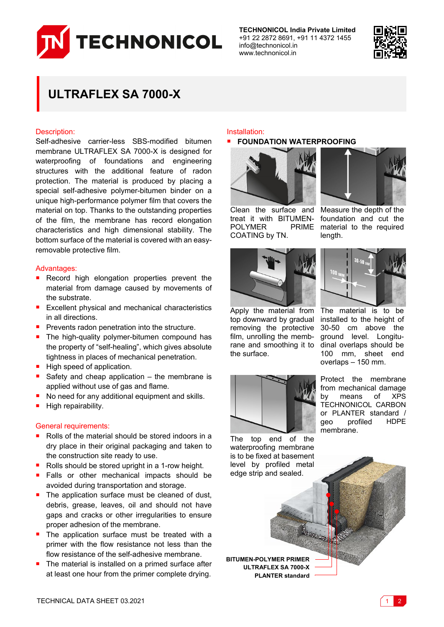

**TECHNONICOL India Private Limited** +91 22 2872 8691, +91 11 4372 1455 info@technonicol.in www.technonicol.in



# **ULTRAFLEX SA 7000-X**

## Description:

Self-adhesive carrier-less SBS-modified bitumen membrane ULTRAFLEX SA 7000-X is designed for waterproofing of foundations and engineering structures with the additional feature of radon protection. The material is produced by placing a special self-adhesive polymer-bitumen binder on a unique high-performance polymer film that covers the material on top. Thanks to the outstanding properties of the film, the membrane has record elongation characteristics and high dimensional stability. The bottom surface of the material is covered with an easyremovable protective film.

# Advantages:

- Record high elongation properties prevent the material from damage caused by movements of the substrate.
- **Excellent physical and mechanical characteristics** in all directions.
- Prevents radon penetration into the structure.
- The high-quality polymer-bitumen compound has the property of "self-healing", which gives absolute tightness in places of mechanical penetration.
- High speed of application.
- Safety and cheap application the membrane is applied without use of gas and flame.
- No need for any additional equipment and skills.
- High repairability.

## General requirements:

- Rolls of the material should be stored indoors in a dry place in their original packaging and taken to the construction site ready to use.
- Rolls should be stored upright in a 1-row height.
- Falls or other mechanical impacts should be avoided during transportation and storage.
- $\blacksquare$  The application surface must be cleaned of dust, debris, grease, leaves, oil and should not have gaps and cracks or other irregularities to ensure proper adhesion of the membrane.
- The application surface must be treated with a primer with the flow resistance not less than the flow resistance of the self-adhesive membrane.
- The material is installed on a primed surface after at least one hour from the primer complete drying.

#### Installation:

## **FOUNDATION WATERPROOFING**



treat it with BITUMEN-POLYMER COATING by TN.



Clean the surface and Measure the depth of the foundation and cut the PRIME material to the required length.



Apply the material from top downward by gradual removing the protective film, unrolling the membrane and smoothing it to the surface.



The material is to be installed to the height of 30-50 cm above the ground level. Longitudinal overlaps should be 100 mm, sheet end overlaps – 150 mm.

Protect the membrane from mechanical damage by means of XPS TECHNONICOL CARBON or PLANTER standard / geo profiled HDPE membrane.

The top end of the waterproofing membrane is to be fixed at basement level by profiled metal edge strip and sealed.

**BITUMEN-POLYMER PRIMER ULTRAFLEX SA 7000-X PLANTER standard**